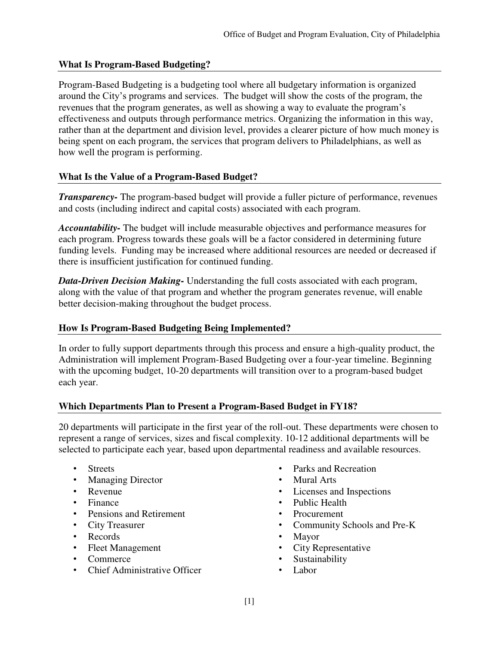## **What Is Program-Based Budgeting?**

Program-Based Budgeting is a budgeting tool where all budgetary information is organized around the City's programs and services. The budget will show the costs of the program, the revenues that the program generates, as well as showing a way to evaluate the program's effectiveness and outputs through performance metrics. Organizing the information in this way, rather than at the department and division level, provides a clearer picture of how much money is being spent on each program, the services that program delivers to Philadelphians, as well as how well the program is performing.

### **What Is the Value of a Program-Based Budget?**

*Transparency-* The program-based budget will provide a fuller picture of performance, revenues and costs (including indirect and capital costs) associated with each program.

*Accountability-* The budget will include measurable objectives and performance measures for each program. Progress towards these goals will be a factor considered in determining future funding levels. Funding may be increased where additional resources are needed or decreased if there is insufficient justification for continued funding.

*Data-Driven Decision Making-* Understanding the full costs associated with each program, along with the value of that program and whether the program generates revenue, will enable better decision-making throughout the budget process.

### **How Is Program-Based Budgeting Being Implemented?**

In order to fully support departments through this process and ensure a high-quality product, the Administration will implement Program-Based Budgeting over a four-year timeline. Beginning with the upcoming budget, 10-20 departments will transition over to a program-based budget each year.

#### **Which Departments Plan to Present a Program-Based Budget in FY18?**

20 departments will participate in the first year of the roll-out. These departments were chosen to represent a range of services, sizes and fiscal complexity. 10-12 additional departments will be selected to participate each year, based upon departmental readiness and available resources.

- **Streets**
- Managing Director
- Revenue
- Finance
- Pensions and Retirement
- City Treasurer
- Records
- Fleet Management
- Commerce
- Chief Administrative Officer
- Parks and Recreation
- Mural Arts
- Licenses and Inspections
- Public Health
- Procurement
- Community Schools and Pre-K
- Mayor
- City Representative
- **Sustainability**
- Labor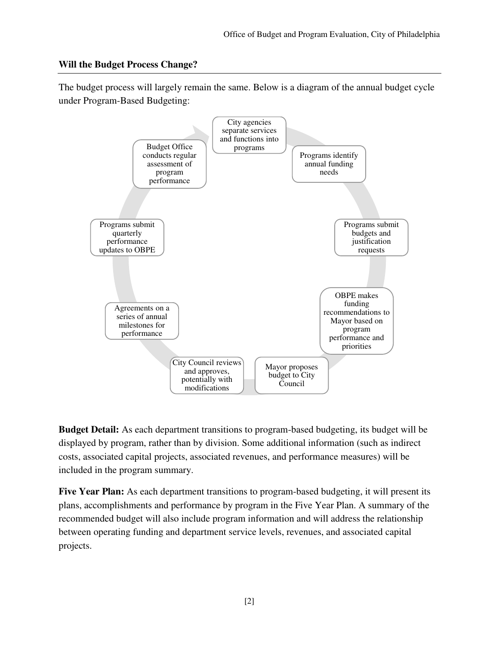### **Will the Budget Process Change?**

The budget process will largely remain the same. Below is a diagram of the annual budget cycle under Program-Based Budgeting:



**Budget Detail:** As each department transitions to program-based budgeting, its budget will be displayed by program, rather than by division. Some additional information (such as indirect costs, associated capital projects, associated revenues, and performance measures) will be included in the program summary.

**Five Year Plan:** As each department transitions to program-based budgeting, it will present its plans, accomplishments and performance by program in the Five Year Plan. A summary of the recommended budget will also include program information and will address the relationship between operating funding and department service levels, revenues, and associated capital projects.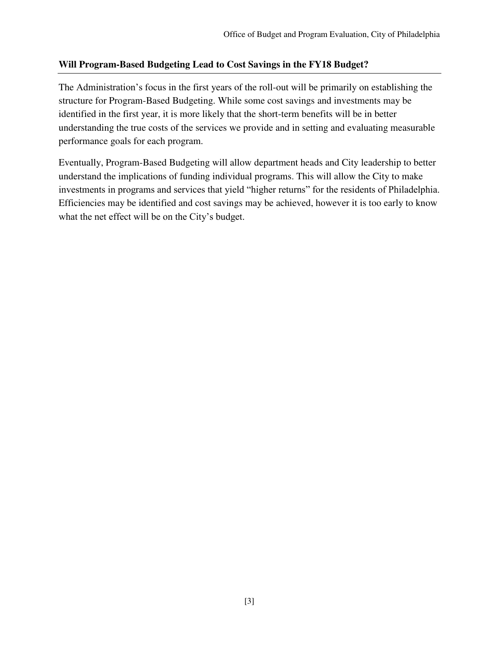## **Will Program-Based Budgeting Lead to Cost Savings in the FY18 Budget?**

The Administration's focus in the first years of the roll-out will be primarily on establishing the structure for Program-Based Budgeting. While some cost savings and investments may be identified in the first year, it is more likely that the short-term benefits will be in better understanding the true costs of the services we provide and in setting and evaluating measurable performance goals for each program.

Eventually, Program-Based Budgeting will allow department heads and City leadership to better understand the implications of funding individual programs. This will allow the City to make investments in programs and services that yield "higher returns" for the residents of Philadelphia. Efficiencies may be identified and cost savings may be achieved, however it is too early to know what the net effect will be on the City's budget.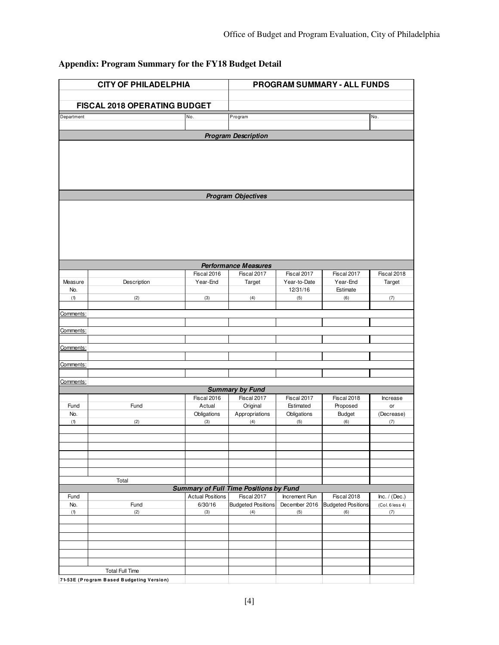# **Appendix: Program Summary for the FY18 Budget Detail**

| <b>CITY OF PHILADELPHIA</b>  |                                          |                         | PROGRAM SUMMARY - ALL FUNDS                   |                             |                                  |                        |  |  |  |  |  |
|------------------------------|------------------------------------------|-------------------------|-----------------------------------------------|-----------------------------|----------------------------------|------------------------|--|--|--|--|--|
| FISCAL 2018 OPERATING BUDGET |                                          |                         |                                               |                             |                                  |                        |  |  |  |  |  |
| Department                   |                                          | No.                     | Program                                       |                             |                                  | No.                    |  |  |  |  |  |
|                              |                                          |                         |                                               |                             |                                  |                        |  |  |  |  |  |
| <b>Program Description</b>   |                                          |                         |                                               |                             |                                  |                        |  |  |  |  |  |
|                              |                                          |                         |                                               |                             |                                  |                        |  |  |  |  |  |
|                              |                                          |                         |                                               |                             |                                  |                        |  |  |  |  |  |
|                              |                                          |                         |                                               |                             |                                  |                        |  |  |  |  |  |
|                              |                                          |                         |                                               |                             |                                  |                        |  |  |  |  |  |
| <b>Program Objectives</b>    |                                          |                         |                                               |                             |                                  |                        |  |  |  |  |  |
|                              |                                          |                         |                                               |                             |                                  |                        |  |  |  |  |  |
|                              |                                          |                         |                                               |                             |                                  |                        |  |  |  |  |  |
|                              |                                          |                         |                                               |                             |                                  |                        |  |  |  |  |  |
|                              |                                          |                         |                                               |                             |                                  |                        |  |  |  |  |  |
|                              |                                          |                         |                                               |                             |                                  |                        |  |  |  |  |  |
|                              |                                          |                         |                                               |                             |                                  |                        |  |  |  |  |  |
|                              |                                          |                         | <b>Performance Measures</b>                   |                             |                                  |                        |  |  |  |  |  |
| Measure                      | Description                              | Fiscal 2016<br>Year-End | Fiscal 2017<br>Target                         | Fiscal 2017<br>Year-to-Date | Fiscal 2017<br>Year-End          | Fiscal 2018<br>Target  |  |  |  |  |  |
| No.                          |                                          |                         |                                               | 12/31/16                    | Estimate                         |                        |  |  |  |  |  |
| (1)                          | (2)                                      | (3)                     | (4)                                           | (5)                         | (6)                              | (7)                    |  |  |  |  |  |
| Comments:                    |                                          |                         |                                               |                             |                                  |                        |  |  |  |  |  |
|                              |                                          |                         |                                               |                             |                                  |                        |  |  |  |  |  |
| Comments:                    |                                          |                         |                                               |                             |                                  |                        |  |  |  |  |  |
|                              |                                          |                         |                                               |                             |                                  |                        |  |  |  |  |  |
| Comments:                    |                                          |                         |                                               |                             |                                  |                        |  |  |  |  |  |
| Comments:                    |                                          |                         |                                               |                             |                                  |                        |  |  |  |  |  |
|                              |                                          |                         |                                               |                             |                                  |                        |  |  |  |  |  |
| Comments:                    |                                          |                         |                                               |                             |                                  |                        |  |  |  |  |  |
|                              |                                          | Fiscal 2016             | <b>Summary by Fund</b><br>Fiscal 2017         | Fiscal 2017                 | Fiscal 2018                      |                        |  |  |  |  |  |
| Fund                         | Fund                                     | Actual                  | Original                                      | Estimated                   | Proposed                         | Increase<br>or         |  |  |  |  |  |
| No.                          |                                          | Obligations             | Appropriations                                | Obligations                 | <b>Budget</b>                    | (Decrease)             |  |  |  |  |  |
| (1)                          | (2)                                      | (3)                     | (4)                                           | (5)                         | (6)                              | (7)                    |  |  |  |  |  |
|                              |                                          |                         |                                               |                             |                                  |                        |  |  |  |  |  |
|                              |                                          |                         |                                               |                             |                                  |                        |  |  |  |  |  |
|                              |                                          |                         |                                               |                             |                                  |                        |  |  |  |  |  |
|                              |                                          |                         |                                               |                             |                                  |                        |  |  |  |  |  |
|                              | Total                                    |                         |                                               |                             |                                  |                        |  |  |  |  |  |
|                              |                                          |                         | <b>Summary of Full Time Positions by Fund</b> |                             |                                  |                        |  |  |  |  |  |
| Fund                         |                                          | <b>Actual Positions</b> | Fiscal 2017                                   | Increment Run               | Fiscal 2018                      | Inc. / (Dec.)          |  |  |  |  |  |
| No.<br>(1)                   | Fund<br>(2)                              | 6/30/16<br>(3)          | <b>Budgeted Positions</b><br>(4)              | December 2016<br>(5)        | <b>Budgeted Positions</b><br>(6) | (Col. 6 less 4)<br>(7) |  |  |  |  |  |
|                              |                                          |                         |                                               |                             |                                  |                        |  |  |  |  |  |
|                              |                                          |                         |                                               |                             |                                  |                        |  |  |  |  |  |
|                              |                                          |                         |                                               |                             |                                  |                        |  |  |  |  |  |
|                              |                                          |                         |                                               |                             |                                  |                        |  |  |  |  |  |
|                              |                                          |                         |                                               |                             |                                  |                        |  |  |  |  |  |
|                              | <b>Total Full Time</b>                   |                         |                                               |                             |                                  |                        |  |  |  |  |  |
|                              | 71-53E (Program Based Budgeting Version) |                         |                                               |                             |                                  |                        |  |  |  |  |  |